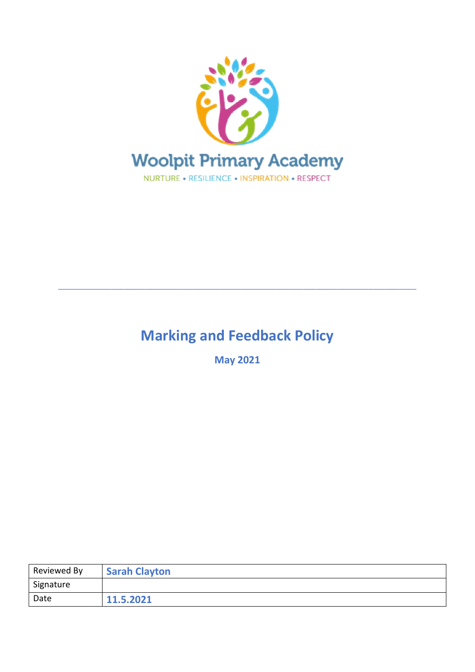

# **Marking and Feedback Policy**

\_\_\_\_\_\_\_\_\_\_\_\_\_\_\_\_\_\_\_\_\_\_\_\_\_\_\_\_\_\_\_\_\_\_\_\_\_\_\_\_\_\_\_\_\_\_\_\_\_\_\_\_\_\_\_\_\_\_\_\_\_\_\_\_\_\_\_\_\_\_\_\_\_\_\_\_\_\_\_\_\_\_

**May 2021**

| Reviewed By | <b>Sarah Clayton</b> |
|-------------|----------------------|
| Signature   |                      |
| Date        | 11.5.2021            |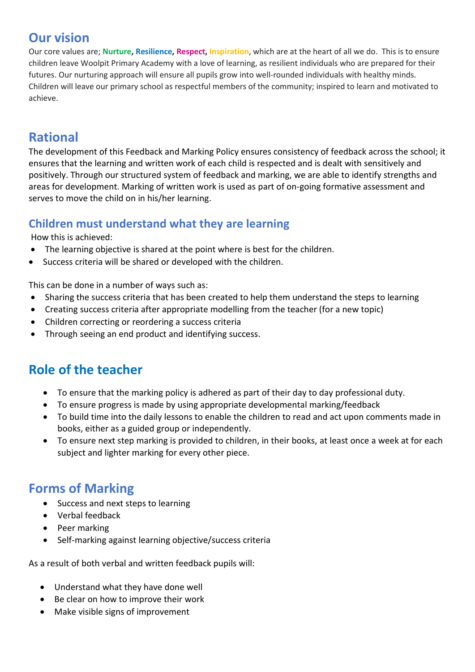### **Our vision**

Our core values are; **Nurture, Resilience, Respect, Inspiration**, which are at the heart of all we do. This is to ensure children leave Woolpit Primary Academy with a love of learning, as resilient individuals who are prepared for their futures. Our nurturing approach will ensure all pupils grow into well-rounded individuals with healthy minds. Children will leave our primary school as respectful members of the community; inspired to learn and motivated to achieve.

### **Rational**

The development of this Feedback and Marking Policy ensures consistency of feedback across the school; it ensures that the learning and written work of each child is respected and is dealt with sensitively and positively. Through our structured system of feedback and marking, we are able to identify strengths and areas for development. Marking of written work is used as part of on-going formative assessment and serves to move the child on in his/her learning.

#### **Children must understand what they are learning**

How this is achieved:

- The learning objective is shared at the point where is best for the children.
- Success criteria will be shared or developed with the children.

This can be done in a number of ways such as:

- Sharing the success criteria that has been created to help them understand the steps to learning
- Creating success criteria after appropriate modelling from the teacher (for a new topic)
- Children correcting or reordering a success criteria
- Through seeing an end product and identifying success.

## **Role of the teacher**

- To ensure that the marking policy is adhered as part of their day to day professional duty.
- To ensure progress is made by using appropriate developmental marking/feedback
- To build time into the daily lessons to enable the children to read and act upon comments made in books, either as a guided group or independently.
- To ensure next step marking is provided to children, in their books, at least once a week at for each subject and lighter marking for every other piece.

### **Forms of Marking**

- Success and next steps to learning
- Verbal feedback
- Peer marking
- Self-marking against learning objective/success criteria

As a result of both verbal and written feedback pupils will:

- Understand what they have done well
- Be clear on how to improve their work
- Make visible signs of improvement